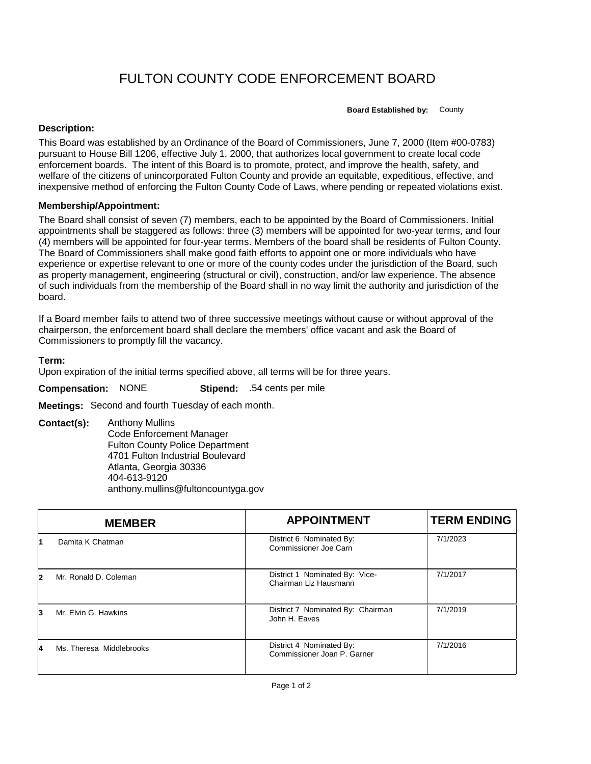## FULTON COUNTY CODE ENFORCEMENT BOARD

**Board Established by:** County

## **Description:**

This Board was established by an Ordinance of the Board of Commissioners, June 7, 2000 (Item #00-0783) pursuant to House Bill 1206, effective July 1, 2000, that authorizes local government to create local code enforcement boards. The intent of this Board is to promote, protect, and improve the health, safety, and welfare of the citizens of unincorporated Fulton County and provide an equitable, expeditious, effective, and inexpensive method of enforcing the Fulton County Code of Laws, where pending or repeated violations exist.

## **Membership/Appointment:**

The Board shall consist of seven (7) members, each to be appointed by the Board of Commissioners. Initial appointments shall be staggered as follows: three (3) members will be appointed for two-year terms, and four (4) members will be appointed for four-year terms. Members of the board shall be residents of Fulton County. The Board of Commissioners shall make good faith efforts to appoint one or more individuals who have experience or expertise relevant to one or more of the county codes under the jurisdiction of the Board, such as property management, engineering (structural or civil), construction, and/or law experience. The absence of such individuals from the membership of the Board shall in no way limit the authority and jurisdiction of the board.

If a Board member fails to attend two of three successive meetings without cause or without approval of the chairperson, the enforcement board shall declare the members' office vacant and ask the Board of Commissioners to promptly fill the vacancy.

## **Term:**

Upon expiration of the initial terms specified above, all terms will be for three years.

**Compensation:** NONE **Stipend:** .54 cents per mile

**Meetings:** Second and fourth Tuesday of each month.

**Contact(s):** Anthony Mullins Code Enforcement Manager Fulton County Police Department 4701 Fulton Industrial Boulevard Atlanta, Georgia 30336 404-613-9120 anthony.mullins@fultoncountyga.gov

|   | <b>MEMBER</b>            | <b>APPOINTMENT</b>                                      | <b>TERM ENDING</b> |
|---|--------------------------|---------------------------------------------------------|--------------------|
|   | Damita K Chatman         | District 6 Nominated By:<br>Commissioner Joe Carn       | 7/1/2023           |
| 2 | Mr. Ronald D. Coleman    | District 1 Nominated By: Vice-<br>Chairman Liz Hausmann | 7/1/2017           |
| 3 | Mr. Elvin G. Hawkins     | District 7 Nominated By: Chairman<br>John H. Eaves      | 7/1/2019           |
| 4 | Ms. Theresa Middlebrooks | District 4 Nominated By:<br>Commissioner Joan P. Garner | 7/1/2016           |